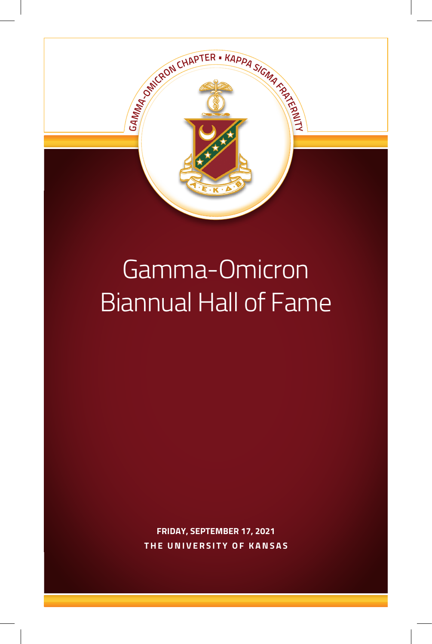

### Gamma-Omicron Biannual Hall of Fame

**FRIDAY, SEPTEMBER 17, 2021 THE UNIVERSITY OF KANSAS**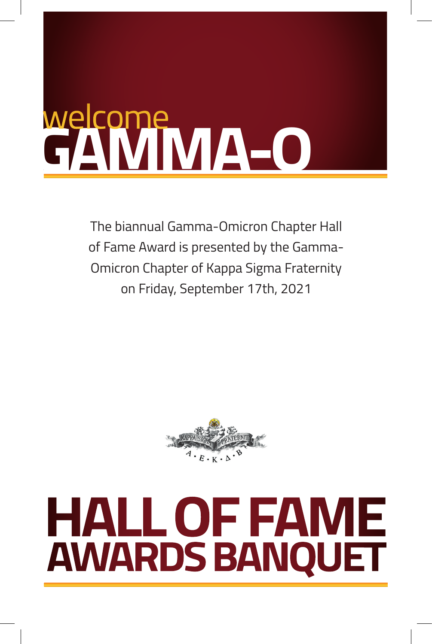### **TO THE 1 HALL OF FAME AWARDS BANQUET** Welcome<br>GAMMA-O

The biannual Gamma-Omicron Chapter Hall of Fame Award is presented by the Gamma-Omicron Chapter of Kappa Sigma Fraternity on Friday, September 17th, 2021



### **HALL OF FAME AWARDS BANQUET**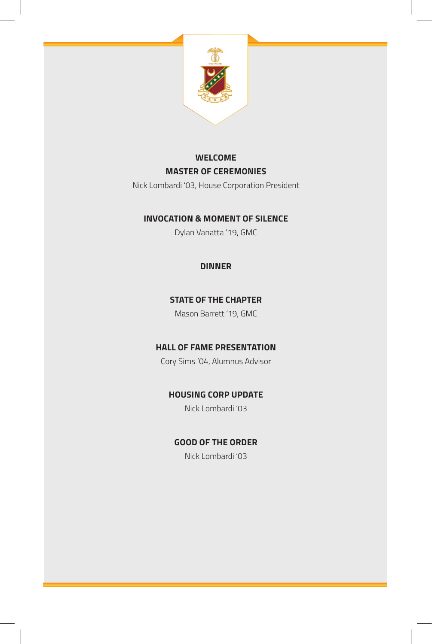

### **WELCOME MASTER OF CEREMONIES**

Nick Lombardi '03, House Corporation President

### **INVOCATION & MOMENT OF SILENCE**

Dylan Vanatta '19, GMC

### **DINNER**

### **STATE OF THE CHAPTER**

Mason Barrett '19, GMC

### **HALL OF FAME PRESENTATION**

Cory Sims '04, Alumnus Advisor

### **HOUSING CORP UPDATE**

Nick Lombardi '03

### **GOOD OF THE ORDER**

Nick Lombardi '03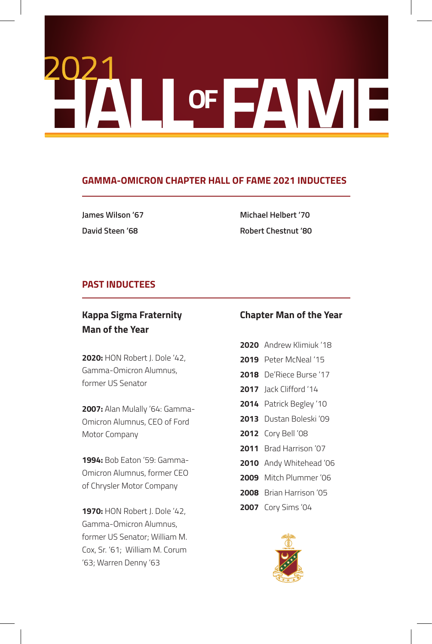# **HALL OF FAMILY**

### **GAMMA-OMICRON CHAPTER HALL OF FAME 2021 INDUCTEES**

**James Wilson '67 David Steen '68**

**Michael Helbert '70 Robert Chestnut '80**

### **PAST INDUCTEES**

### **Kappa Sigma Fraternity Man of the Year**

**2020:** HON Robert J. Dole '42, Gamma-Omicron Alumnus, former US Senator

**2007:** Alan Mulally '64: Gamma-Omicron Alumnus, CEO of Ford Motor Company

**1994:** Bob Eaton '59: Gamma-Omicron Alumnus, former CEO of Chrysler Motor Company

**1970:** HON Robert J. Dole '42, Gamma-Omicron Alumnus, former US Senator; William M. Cox, Sr. '61; William M. Corum '63; Warren Denny '63

### **Chapter Man of the Year**

- **2020** Andrew Klimiuk '18
- **2019** Peter McNeal '15
- **2018** De'Riece Burse '17
- **2017** Jack Clifford '14
- **2014** Patrick Begley '10
- **2013** Dustan Boleski '09
- **2012** Cory Bell '08
- **2011** Brad Harrison '07
- **2010** Andy Whitehead '06
- **2009** Mitch Plummer '06
- **2008** Brian Harrison '05
- **2007** Cory Sims '04

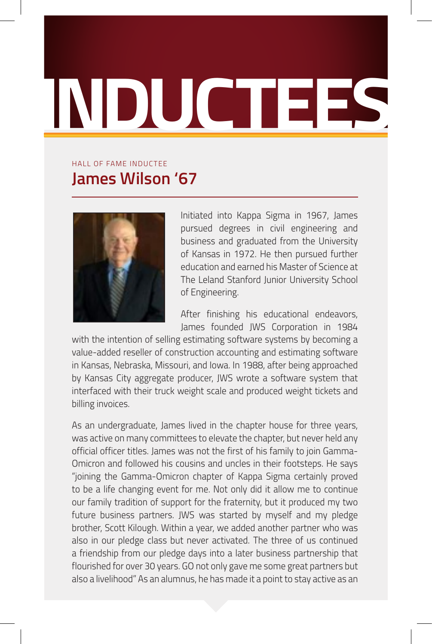### **INDUCTEES**

### **James Wilson '67** HALL OF FAME INDUCTEE



Initiated into Kappa Sigma in 1967, James pursued degrees in civil engineering and business and graduated from the University of Kansas in 1972. He then pursued further education and earned his Master of Science at The Leland Stanford Junior University School of Engineering.

After finishing his educational endeavors, James founded JWS Corporation in 1984

with the intention of selling estimating software systems by becoming a value-added reseller of construction accounting and estimating software in Kansas, Nebraska, Missouri, and Iowa. In 1988, after being approached by Kansas City aggregate producer, JWS wrote a software system that interfaced with their truck weight scale and produced weight tickets and billing invoices.

As an undergraduate, James lived in the chapter house for three years, was active on many committees to elevate the chapter, but never held any official officer titles. James was not the first of his family to join Gamma-Omicron and followed his cousins and uncles in their footsteps. He says "joining the Gamma-Omicron chapter of Kappa Sigma certainly proved to be a life changing event for me. Not only did it allow me to continue our family tradition of support for the fraternity, but it produced my two future business partners. JWS was started by myself and my pledge brother, Scott Kilough. Within a year, we added another partner who was also in our pledge class but never activated. The three of us continued a friendship from our pledge days into a later business partnership that flourished for over 30 years. GO not only gave me some great partners but also a livelihood" As an alumnus, he has made it a point to stay active as an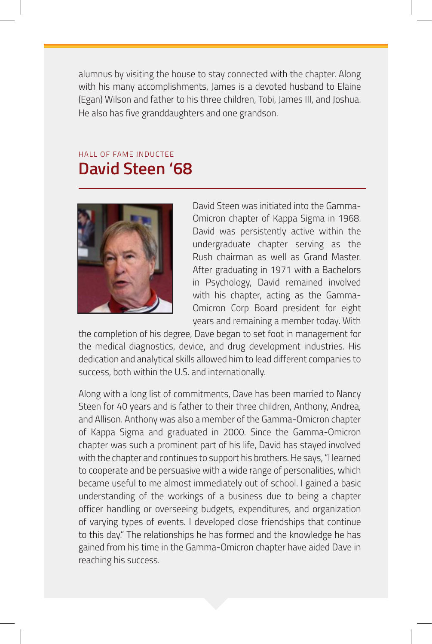alumnus by visiting the house to stay connected with the chapter. Along with his many accomplishments, James is a devoted husband to Elaine (Egan) Wilson and father to his three children, Tobi, James III, and Joshua. He also has five granddaughters and one grandson.

### HALL OF FAME INDUCTEE **David Steen '68**



David Steen was initiated into the Gamma-Omicron chapter of Kappa Sigma in 1968. David was persistently active within the undergraduate chapter serving as the Rush chairman as well as Grand Master. After graduating in 1971 with a Bachelors in Psychology, David remained involved with his chapter, acting as the Gamma-Omicron Corp Board president for eight years and remaining a member today. With

the completion of his degree, Dave began to set foot in management for the medical diagnostics, device, and drug development industries. His dedication and analytical skills allowed him to lead different companies to success, both within the U.S. and internationally.

Along with a long list of commitments, Dave has been married to Nancy Steen for 40 years and is father to their three children, Anthony, Andrea, and Allison. Anthony was also a member of the Gamma-Omicron chapter of Kappa Sigma and graduated in 2000. Since the Gamma-Omicron chapter was such a prominent part of his life, David has stayed involved with the chapter and continues to support his brothers. He says, "I learned to cooperate and be persuasive with a wide range of personalities, which became useful to me almost immediately out of school. I gained a basic understanding of the workings of a business due to being a chapter officer handling or overseeing budgets, expenditures, and organization of varying types of events. I developed close friendships that continue to this day." The relationships he has formed and the knowledge he has gained from his time in the Gamma-Omicron chapter have aided Dave in reaching his success.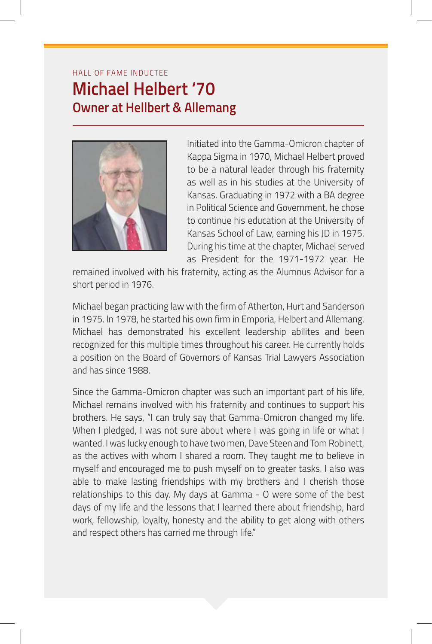### HALL OF FAME INDUCTEE **Michael Helbert '70 Owner at Hellbert & Allemang**



Initiated into the Gamma-Omicron chapter of Kappa Sigma in 1970, Michael Helbert proved to be a natural leader through his fraternity as well as in his studies at the University of Kansas. Graduating in 1972 with a BA degree in Political Science and Government, he chose to continue his education at the University of Kansas School of Law, earning his JD in 1975. During his time at the chapter, Michael served as President for the 1971-1972 year. He

remained involved with his fraternity, acting as the Alumnus Advisor for a short period in 1976.

Michael began practicing law with the firm of Atherton, Hurt and Sanderson in 1975. In 1978, he started his own firm in Emporia, Helbert and Allemang. Michael has demonstrated his excellent leadership abilites and been recognized for this multiple times throughout his career. He currently holds a position on the Board of Governors of Kansas Trial Lawyers Association and has since 1988.

Since the Gamma-Omicron chapter was such an important part of his life, Michael remains involved with his fraternity and continues to support his brothers. He says, "I can truly say that Gamma-Omicron changed my life. When I pledged, I was not sure about where I was going in life or what I wanted. I was lucky enough to have two men, Dave Steen and Tom Robinett, as the actives with whom I shared a room. They taught me to believe in myself and encouraged me to push myself on to greater tasks. I also was able to make lasting friendships with my brothers and I cherish those relationships to this day. My days at Gamma - O were some of the best days of my life and the lessons that I learned there about friendship, hard work, fellowship, loyalty, honesty and the ability to get along with others and respect others has carried me through life."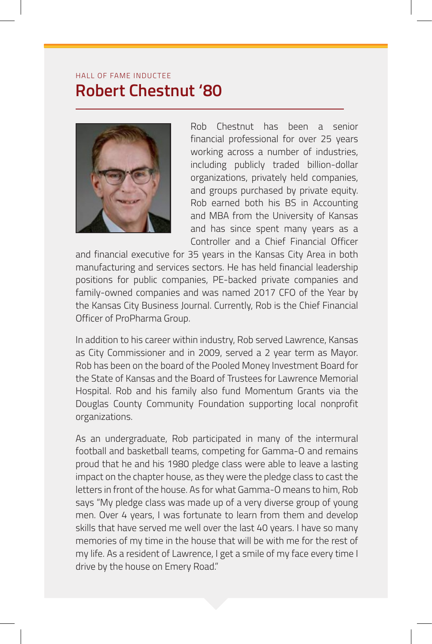### HALL OF FAME INDUCTEE **Robert Chestnut '80**



Rob Chestnut has been a senior financial professional for over 25 years working across a number of industries, including publicly traded billion-dollar organizations, privately held companies, and groups purchased by private equity. Rob earned both his BS in Accounting and MBA from the University of Kansas and has since spent many years as a Controller and a Chief Financial Officer

and financial executive for 35 years in the Kansas City Area in both manufacturing and services sectors. He has held financial leadership positions for public companies, PE-backed private companies and family-owned companies and was named 2017 CFO of the Year by the Kansas City Business Journal. Currently, Rob is the Chief Financial Officer of ProPharma Group.

In addition to his career within industry, Rob served Lawrence, Kansas as City Commissioner and in 2009, served a 2 year term as Mayor. Rob has been on the board of the Pooled Money Investment Board for the State of Kansas and the Board of Trustees for Lawrence Memorial Hospital. Rob and his family also fund Momentum Grants via the Douglas County Community Foundation supporting local nonprofit organizations.

As an undergraduate, Rob participated in many of the intermural football and basketball teams, competing for Gamma-O and remains proud that he and his 1980 pledge class were able to leave a lasting impact on the chapter house, as they were the pledge class to cast the letters in front of the house. As for what Gamma-O means to him, Rob says "My pledge class was made up of a very diverse group of young men. Over 4 years, I was fortunate to learn from them and develop skills that have served me well over the last 40 years. I have so many memories of my time in the house that will be with me for the rest of my life. As a resident of Lawrence, I get a smile of my face every time I drive by the house on Emery Road."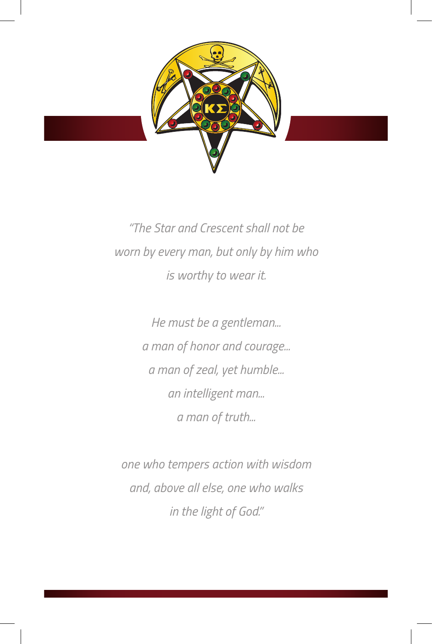

*"The Star and Crescent shall not be worn by every man, but only by him who is worthy to wear it.* 

> *He must be a gentleman... a man of honor and courage... a man of zeal, yet humble... an intelligent man... a man of truth...*

*one who tempers action with wisdom and, above all else, one who walks in the light of God."*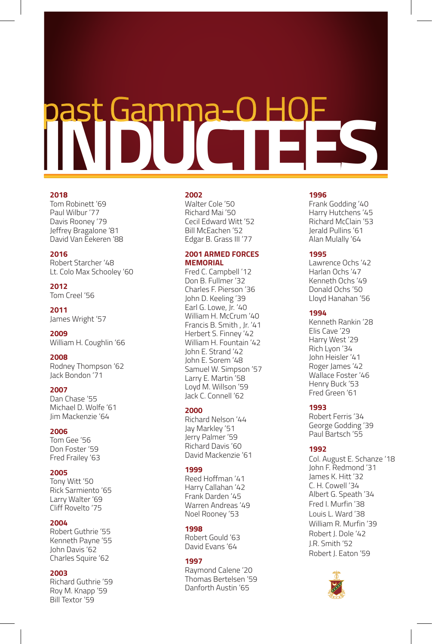# **INDUCTEES** past Gamma-O HOF

### **2018**

### Tom Robinett '69 Paul Wilbur '77 Davis Rooney '79 Jeffrey Bragalone '81 David Van Eekeren '88

### **2016**

Robert Starcher '48 Lt. Colo Max Schooley '60

**2012** Tom Creel '56

**2011** James Wright '57

**2009** William H. Coughlin '66

**2008** Rodney Thompson '62 Jack Bondon '71

### **2007**

Dan Chase '55 Michael D. Wolfe '61 Jim Mackenzie '64

### **2006**

Tom Gee '56 Don Foster '59 Fred Frailey '63

### **2005**

Tony Witt '50 Rick Sarmiento '65 Larry Walter '69 Cliff Rovelto '75

### **2004**

Robert Guthrie '55 Kenneth Payne '55 John Davis '62 Charles Squire '62

### **2003**

Richard Guthrie '59 Roy M. Knapp '59 Bill Textor '59

### **2002**

Walter Cole '50 Richard Mai '50 Cecil Edward Witt '52 Bill McEachen '52 Edgar B. Grass III '77

### **2001 ARMED FORCES MEMORIAL**

Fred C. Campbell '12 Don B. Fullmer '32 Charles F. Pierson '36 John D. Keeling '39 Earl G. Lowe, Jr. '40 William H. McCrum '40 Francis B. Smith , Jr. '41 Herbert S. Finney '42 William H. Fountain '42 John E. Strand '42 John E. Sorem '48 Samuel W. Simpson '57 Larry E. Martin '58 Loyd M. Willson '59 Jack C. Connell '62

### **2000**

Richard Nelson '44 Jay Markley '51 Jerry Palmer '59 Richard Davis '60 David Mackenzie '61

### **1999**

Reed Hoffman '41 Harry Callahan '42 Frank Darden '45 Warren Andreas '49 Noel Rooney '53

### **1998**

Robert Gould '63 David Evans '64

### **1997**

Raymond Calene '20 Thomas Bertelsen '59 Danforth Austin '65

### **1996**

Frank Godding '40 Harry Hutchens '45 Richard McClain '53 Jerald Pullins '61 Alan Mulally '64

### **1995**

Lawrence Ochs '42 Harlan Ochs '47 Kenneth Ochs '49 Donald Ochs '50 Lloyd Hanahan '56

### **1994**

Kenneth Rankin '28 Elis Cave '29 Harry West '29 Rich Lyon '34 John Heisler '41 Roger James '42 Wallace Foster '46 Henry Buck '53 Fred Green '61

### **1993**

Robert Ferris '34 George Godding '39 Paul Bartsch '55

### **1992**

Col. August E. Schanze '18 John F. Redmond '31 James K. Hitt '32 C. H. Cowell '34 Albert G. Speath '34 Fred I. Murfin '38 Louis L. Ward '38 William R. Murfin '39 Robert J. Dole '42 J.R. Smith '52 Robert J. Eaton '59

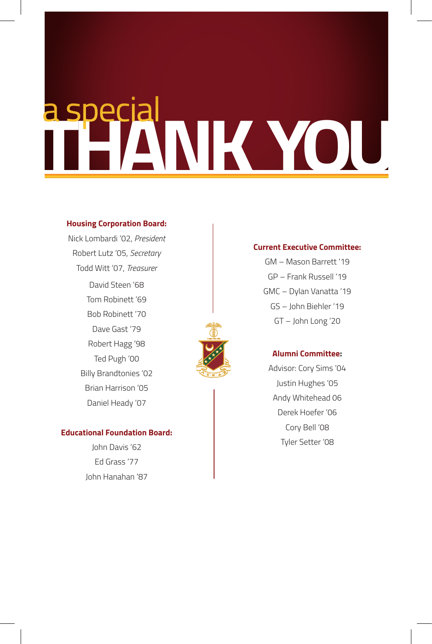## **INDUCTEES**

### **Housing Corporation Board:**

Nick Lombardi '02, *President* Robert Lutz '05, *Secretary* Todd Witt '07, *Treasurer* David Steen '68 Tom Robinett '69 Bob Robinett '70 Dave Gast '79 Robert Hagg '98 Ted Pugh '00 Billy Brandtonies '02 Brian Harrison '05 Daniel Heady '07

### **Educational Foundation Board:**

John Davis '62 Ed Grass '77 John Hanahan '87

### **Current Executive Committee:**

GM – Mason Barrett '19 GP – Frank Russell '19 GMC – Dylan Vanatta '19 GS – John Biehler '19 GT – John Long '20



### **Alumni Committee:**

Advisor: Cory Sims '04 Justin Hughes '05 Andy Whitehead 06 Derek Hoefer '06 Cory Bell '08 Tyler Setter '08